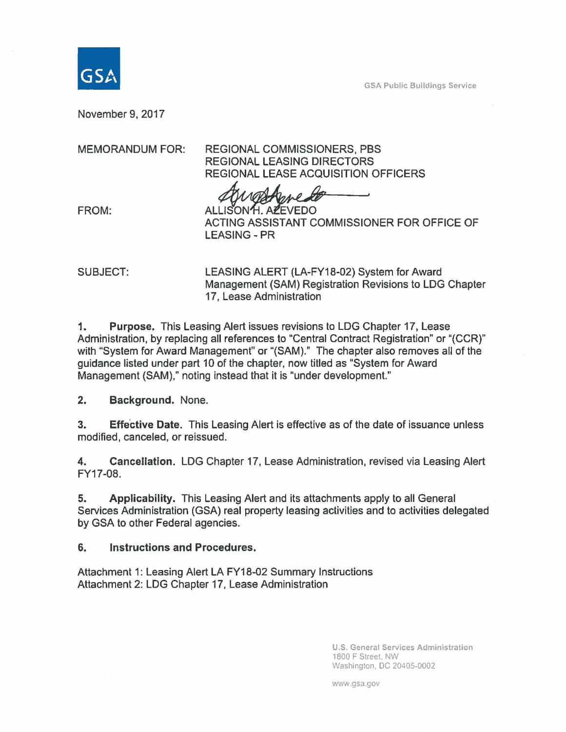GSA Public Buildings Service

November 9, 2017

MEMORANDUM FOR: REGIONAL COMMISSIONERS, PBS REGIONAL LEASING DIRECTORS REGIONAL LEASE ACQUISITION OFFICERS

FROM: ALLISON H. AZEVEDO ACTING ASSISTANT COMMISSIONER FOR OFFICE OF LEASING-PR

SUBJECT: LEASING ALERT (LA-FY18-02) System for Award Management (SAM) Registration Revisions to LOG Chapter 17, Lease Administration

1. Purpose. This Leasing Alert issues revisions to LDG Chapter 17, Lease Administration, by replacing all references to "Central Contract Registration" or "(CCR)" with "System for Award Management" or "(SAM)." The chapter also removes all of the guidance listed under part 10 of the chapter, now titled as "System for Award Management (SAM)," noting instead that it is "under development."

2. Background. None.

3. Effective Date. This Leasing Alert is effective as of the date of issuance unless modified, canceled, or reissued.

4. Cancellation. LOG Chapter 17, Lease Administration, revised via Leasing Alert FY17-08.

5. Applicability. This Leasing Alert and its attachments apply to all General Services Administration (GSA) real property leasing activities and to activities delegated by GSA to other Federal agencies.

6. Instructions and Procedures.

Attachment 1: Leasing Alert LA FY18-02 Summary Instructions Attachment 2: LDG Chapter 17, Lease Administration

> U.S. General Services Administration 1800 F Street, NW Washington, DC 20405-0002

www.gsa.gov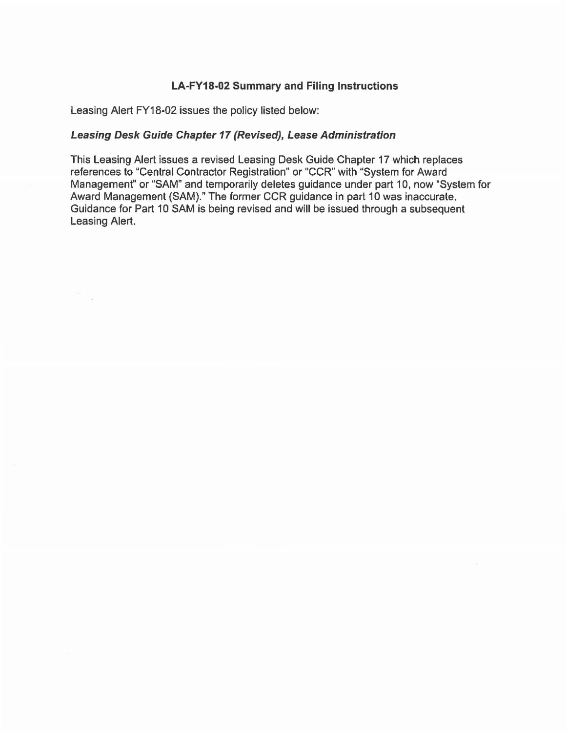## LA-FY18-02 Summary and Filing Instructions

Leasing Alert FY18-02 issues the policy listed below:

## Leasing Desk Gulde Chapter 17 (Revised), Lease Administration

This Leasing Alert issues a revised Leasing Desk Guide Chapter 17 which replaces references to "Central Contractor Registration" or "CCR" with "System for Award Management" or "SAM" and temporarily deletes guidance under part 10, now "System for Award Management (SAM)." The former CCR guidance in part 10 was inaccurate. Guidance for Part 10 SAM is being revised and will be issued through a subsequent Leasing Alert.